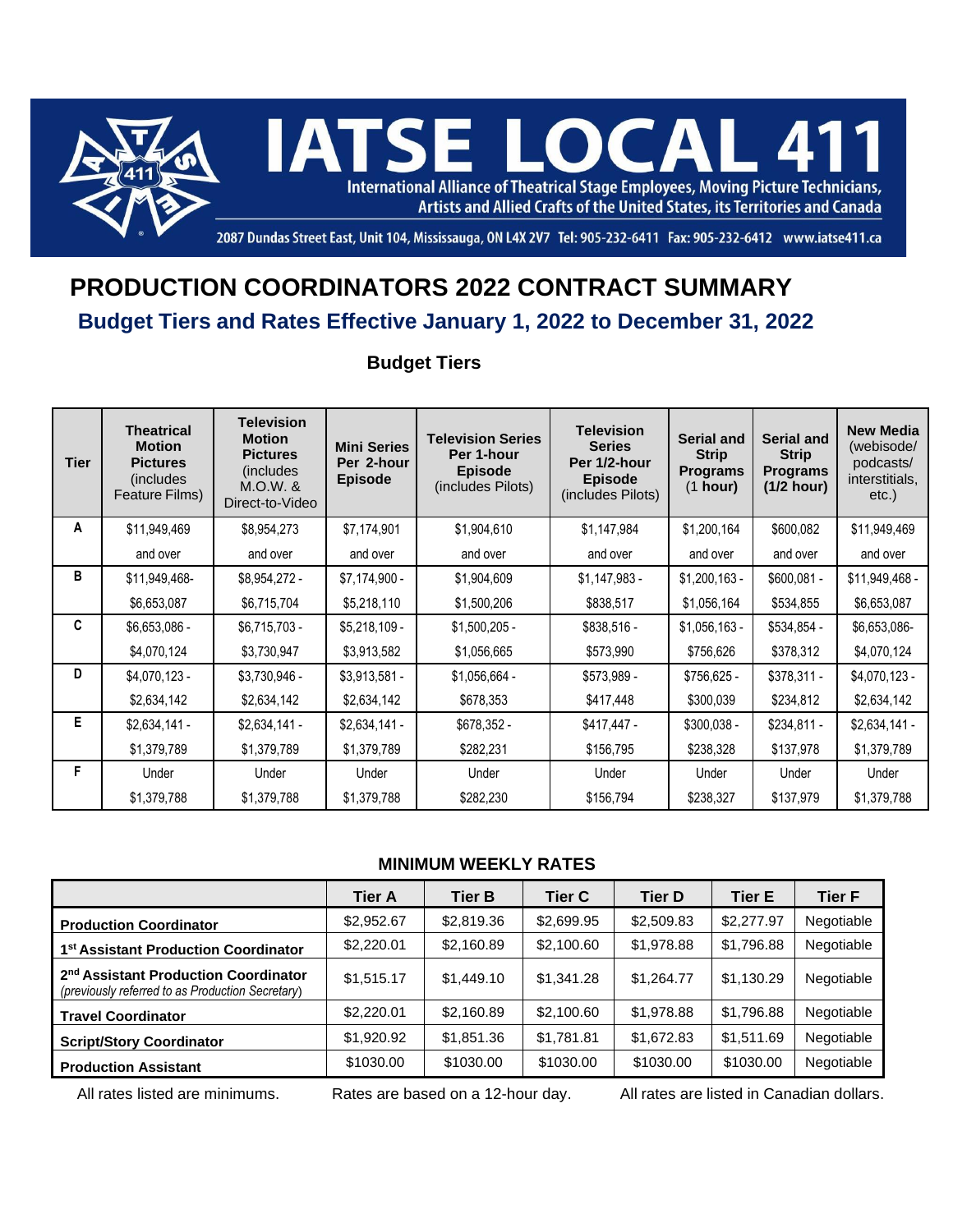

2087 Dundas Street East, Unit 104, Mississauga, ON L4X 2V7 Tel: 905-232-6411 Fax: 905-232-6412 www.iatse411.ca

## **PRODUCTION COORDINATORS 2022 CONTRACT SUMMARY**

## **Budget Tiers and Rates Effective January 1, 2022 to December 31, 2022**

**Budget Tiers**

| Tier | <b>Theatrical</b><br><b>Motion</b><br><b>Pictures</b><br>(includes)<br>Feature Films) | <b>Television</b><br><b>Motion</b><br><b>Pictures</b><br>(includes)<br>$M.O.W.$ &<br>Direct-to-Video | <b>Mini Series</b><br>Per 2-hour<br><b>Episode</b> | <b>Television Series</b><br>Per 1-hour<br><b>Episode</b><br>(includes Pilots) | <b>Television</b><br><b>Series</b><br>Per 1/2-hour<br><b>Episode</b><br>(includes Pilots) | Serial and<br><b>Strip</b><br><b>Programs</b><br>(1 hour) | <b>Serial and</b><br><b>Strip</b><br><b>Programs</b><br>(1/2 hour) | <b>New Media</b><br>(webisode/<br>podcasts/<br>interstitials,<br>$etc.$ ) |
|------|---------------------------------------------------------------------------------------|------------------------------------------------------------------------------------------------------|----------------------------------------------------|-------------------------------------------------------------------------------|-------------------------------------------------------------------------------------------|-----------------------------------------------------------|--------------------------------------------------------------------|---------------------------------------------------------------------------|
| A    | \$11,949,469                                                                          | \$8,954,273                                                                                          | \$7,174,901                                        | \$1,904,610                                                                   | \$1,147,984                                                                               | \$1,200,164                                               | \$600,082                                                          | \$11,949,469                                                              |
|      | and over                                                                              | and over                                                                                             | and over                                           | and over                                                                      | and over                                                                                  | and over                                                  | and over                                                           | and over                                                                  |
| в    | \$11,949,468-                                                                         | $$8,954,272-$                                                                                        | $$7,174,900 -$                                     | \$1,904,609                                                                   | $$1,147,983 -$                                                                            | $$1,200,163$ -                                            | $$600,081 -$                                                       | \$11,949,468 -                                                            |
|      | \$6,653,087                                                                           | \$6,715,704                                                                                          | \$5,218,110                                        | \$1,500,206                                                                   | \$838,517                                                                                 | \$1,056,164                                               | \$534,855                                                          | \$6,653,087                                                               |
| C    | \$6,653,086 -                                                                         | $$6,715,703-$                                                                                        | $$5,218,109-$                                      | $$1,500,205$ -                                                                | \$838,516 -                                                                               | $$1,056,163 -$                                            | \$534,854 -                                                        | \$6,653,086-                                                              |
|      | \$4,070,124                                                                           | \$3,730,947                                                                                          | \$3,913,582                                        | \$1,056,665                                                                   | \$573,990                                                                                 | \$756,626                                                 | \$378,312                                                          | \$4,070,124                                                               |
| D    | $$4,070,123-$                                                                         | \$3,730,946 -                                                                                        | $$3,913,581-$                                      | $$1,056,664 -$                                                                | \$573,989 -                                                                               | $$756,625 -$                                              | $$378,311 -$                                                       | $$4,070,123-$                                                             |
|      | \$2,634,142                                                                           | \$2,634,142                                                                                          | \$2,634,142                                        | \$678,353                                                                     | \$417,448                                                                                 | \$300,039                                                 | \$234,812                                                          | \$2,634,142                                                               |
| E.   | $$2,634,141-$                                                                         | $$2,634,141-$                                                                                        | $$2,634,141-$                                      | \$678,352 -                                                                   | \$417,447 -                                                                               | $$300,038 -$                                              | $$234,811 -$                                                       | $$2,634,141-$                                                             |
|      | \$1,379,789                                                                           | \$1,379,789                                                                                          | \$1,379,789                                        | \$282,231                                                                     | \$156,795                                                                                 | \$238,328                                                 | \$137,978                                                          | \$1,379,789                                                               |
| F    | Under                                                                                 | Under                                                                                                | Under                                              | Under                                                                         | Under                                                                                     | Under                                                     | Under                                                              | Under                                                                     |
|      | \$1,379,788                                                                           | \$1,379,788                                                                                          | \$1,379,788                                        | \$282,230                                                                     | \$156,794                                                                                 | \$238,327                                                 | \$137,979                                                          | \$1,379,788                                                               |

## **MINIMUM WEEKLY RATES**

|                                                                                                      | <b>Tier A</b> | <b>Tier B</b> | <b>Tier C</b> | <b>Tier D</b> | <b>Tier E</b> | <b>Tier F</b> |
|------------------------------------------------------------------------------------------------------|---------------|---------------|---------------|---------------|---------------|---------------|
| <b>Production Coordinator</b>                                                                        | \$2,952.67    | \$2,819.36    | \$2,699.95    | \$2,509.83    | \$2,277.97    | Negotiable    |
| 1 <sup>st</sup> Assistant Production Coordinator                                                     | \$2,220.01    | \$2,160.89    | \$2,100.60    | \$1,978.88    | \$1,796.88    | Negotiable    |
| 2 <sup>nd</sup> Assistant Production Coordinator<br>(previously referred to as Production Secretary) | \$1,515.17    | \$1,449.10    | \$1,341.28    | \$1,264.77    | \$1,130.29    | Negotiable    |
| <b>Travel Coordinator</b>                                                                            | \$2,220.01    | \$2,160.89    | \$2,100.60    | \$1,978.88    | \$1,796.88    | Negotiable    |
| <b>Script/Story Coordinator</b>                                                                      | \$1,920.92    | \$1,851.36    | \$1,781.81    | \$1,672.83    | \$1,511.69    | Negotiable    |
| <b>Production Assistant</b>                                                                          | \$1030.00     | \$1030.00     | \$1030.00     | \$1030.00     | \$1030.00     | Negotiable    |

All rates listed are minimums. Rates are based on a 12-hour day. All rates are listed in Canadian dollars.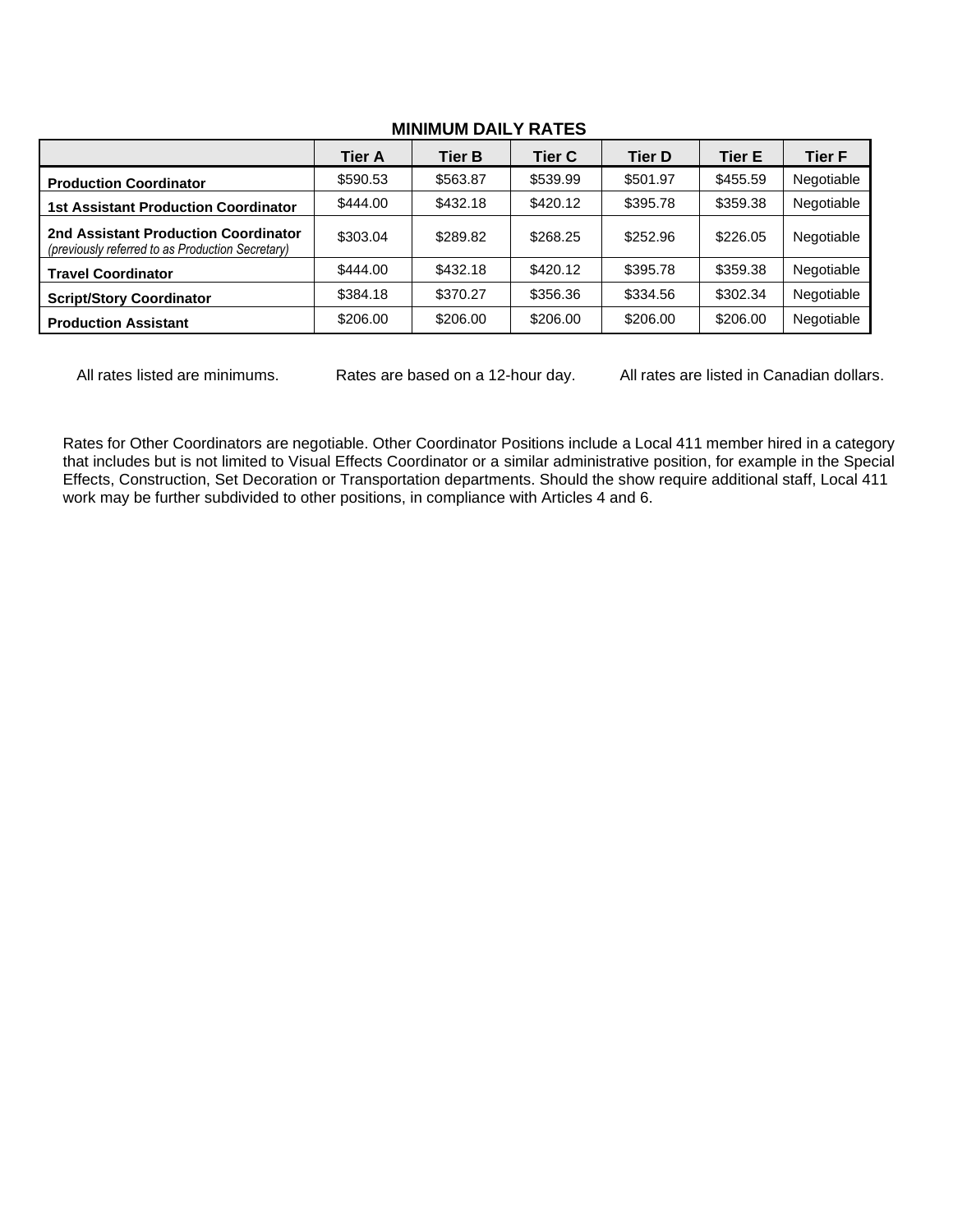|                                                                                          | <b>Tier A</b> | <b>Tier B</b> | <b>Tier C</b> | <b>Tier D</b> | Tier E   | <b>Tier F</b> |
|------------------------------------------------------------------------------------------|---------------|---------------|---------------|---------------|----------|---------------|
| <b>Production Coordinator</b>                                                            | \$590.53      | \$563.87      | \$539.99      | \$501.97      | \$455.59 | Negotiable    |
| <b>1st Assistant Production Coordinator</b>                                              | \$444.00      | \$432.18      | \$420.12      | \$395.78      | \$359.38 | Negotiable    |
| 2nd Assistant Production Coordinator<br>(previously referred to as Production Secretary) | \$303.04      | \$289.82      | \$268.25      | \$252.96      | \$226.05 | Negotiable    |
| <b>Travel Coordinator</b>                                                                | \$444.00      | \$432.18      | \$420.12      | \$395.78      | \$359.38 | Negotiable    |
| <b>Script/Story Coordinator</b>                                                          | \$384.18      | \$370.27      | \$356.36      | \$334.56      | \$302.34 | Negotiable    |
| <b>Production Assistant</b>                                                              | \$206.00      | \$206.00      | \$206.00      | \$206.00      | \$206.00 | Negotiable    |

## **MINIMUM DAILY RATES**

All rates listed are minimums. Rates are based on a 12-hour day. All rates are listed in Canadian dollars.

Rates for Other Coordinators are negotiable. Other Coordinator Positions include a Local 411 member hired in a category that includes but is not limited to Visual Effects Coordinator or a similar administrative position, for example in the Special Effects, Construction, Set Decoration or Transportation departments. Should the show require additional staff, Local 411 work may be further subdivided to other positions, in compliance with Articles 4 and 6.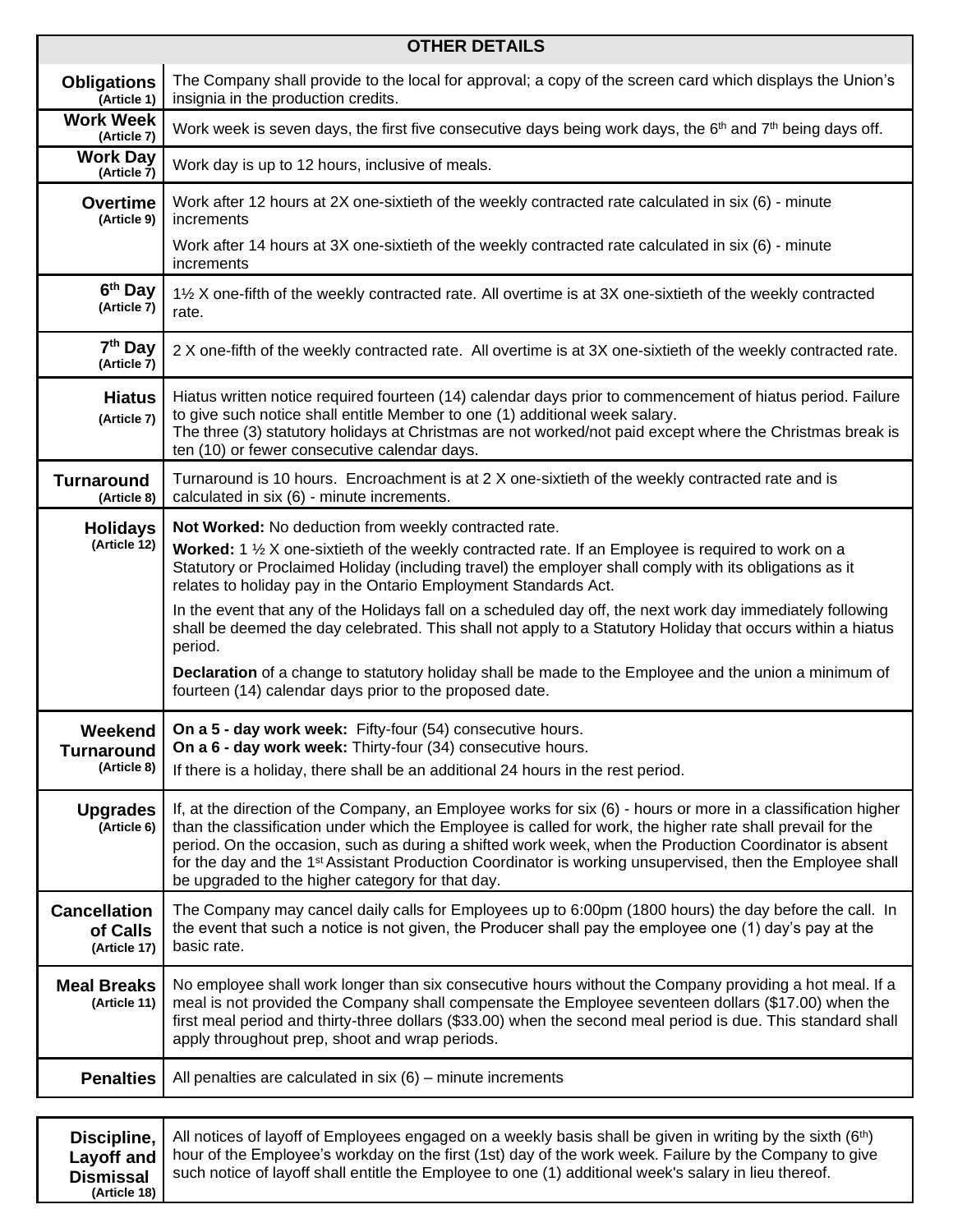| <b>OTHER DETAILS</b>                            |                                                                                                                                                                                                                                                                                                                                                                                                                                                                                                                    |  |  |  |  |
|-------------------------------------------------|--------------------------------------------------------------------------------------------------------------------------------------------------------------------------------------------------------------------------------------------------------------------------------------------------------------------------------------------------------------------------------------------------------------------------------------------------------------------------------------------------------------------|--|--|--|--|
| <b>Obligations</b><br>(Article 1)               | The Company shall provide to the local for approval; a copy of the screen card which displays the Union's<br>insignia in the production credits.                                                                                                                                                                                                                                                                                                                                                                   |  |  |  |  |
| <b>Work Week</b><br>(Article 7)                 | Work week is seven days, the first five consecutive days being work days, the 6 <sup>th</sup> and 7 <sup>th</sup> being days off.                                                                                                                                                                                                                                                                                                                                                                                  |  |  |  |  |
| <b>Work Day</b><br>(Article 7)                  | Work day is up to 12 hours, inclusive of meals.                                                                                                                                                                                                                                                                                                                                                                                                                                                                    |  |  |  |  |
| <b>Overtime</b><br>(Article 9)                  | Work after 12 hours at 2X one-sixtieth of the weekly contracted rate calculated in six (6) - minute<br>increments                                                                                                                                                                                                                                                                                                                                                                                                  |  |  |  |  |
|                                                 | Work after 14 hours at 3X one-sixtieth of the weekly contracted rate calculated in six (6) - minute<br>increments                                                                                                                                                                                                                                                                                                                                                                                                  |  |  |  |  |
| 6 <sup>th</sup> Day<br>(Article 7)              | 1½ X one-fifth of the weekly contracted rate. All overtime is at 3X one-sixtieth of the weekly contracted<br>rate.                                                                                                                                                                                                                                                                                                                                                                                                 |  |  |  |  |
| 7 <sup>th</sup> Day<br>(Article 7)              | 2 X one-fifth of the weekly contracted rate. All overtime is at 3X one-sixtieth of the weekly contracted rate.                                                                                                                                                                                                                                                                                                                                                                                                     |  |  |  |  |
| <b>Hiatus</b><br>(Article 7)                    | Hiatus written notice required fourteen (14) calendar days prior to commencement of hiatus period. Failure<br>to give such notice shall entitle Member to one (1) additional week salary.<br>The three (3) statutory holidays at Christmas are not worked/not paid except where the Christmas break is<br>ten (10) or fewer consecutive calendar days.                                                                                                                                                             |  |  |  |  |
| <b>Turnaround</b><br>(Article 8)                | Turnaround is 10 hours. Encroachment is at 2 X one-sixtieth of the weekly contracted rate and is<br>calculated in six (6) - minute increments.                                                                                                                                                                                                                                                                                                                                                                     |  |  |  |  |
| <b>Holidays</b><br>(Article 12)                 | Not Worked: No deduction from weekly contracted rate.<br><b>Worked:</b> 1 1/ <sub>2</sub> X one-sixtieth of the weekly contracted rate. If an Employee is required to work on a<br>Statutory or Proclaimed Holiday (including travel) the employer shall comply with its obligations as it<br>relates to holiday pay in the Ontario Employment Standards Act.<br>In the event that any of the Holidays fall on a scheduled day off, the next work day immediately following                                        |  |  |  |  |
|                                                 | shall be deemed the day celebrated. This shall not apply to a Statutory Holiday that occurs within a hiatus<br>period.<br>Declaration of a change to statutory holiday shall be made to the Employee and the union a minimum of<br>fourteen (14) calendar days prior to the proposed date.                                                                                                                                                                                                                         |  |  |  |  |
| Weekend I<br><b>Turnaround</b><br>(Article 8)   | On a 5 - day work week: Fifty-four (54) consecutive hours.<br>On a 6 - day work week: Thirty-four (34) consecutive hours.<br>If there is a holiday, there shall be an additional 24 hours in the rest period.                                                                                                                                                                                                                                                                                                      |  |  |  |  |
| <b>Upgrades</b><br>(Article 6)                  | If, at the direction of the Company, an Employee works for six (6) - hours or more in a classification higher<br>than the classification under which the Employee is called for work, the higher rate shall prevail for the<br>period. On the occasion, such as during a shifted work week, when the Production Coordinator is absent<br>for the day and the 1 <sup>st</sup> Assistant Production Coordinator is working unsupervised, then the Employee shall<br>be upgraded to the higher category for that day. |  |  |  |  |
| <b>Cancellation</b><br>of Calls<br>(Article 17) | The Company may cancel daily calls for Employees up to 6:00pm (1800 hours) the day before the call. In<br>the event that such a notice is not given, the Producer shall pay the employee one (1) day's pay at the<br>basic rate.                                                                                                                                                                                                                                                                                   |  |  |  |  |
| <b>Meal Breaks</b><br>(Article 11)              | No employee shall work longer than six consecutive hours without the Company providing a hot meal. If a<br>meal is not provided the Company shall compensate the Employee seventeen dollars (\$17.00) when the<br>first meal period and thirty-three dollars (\$33.00) when the second meal period is due. This standard shall<br>apply throughout prep, shoot and wrap periods.                                                                                                                                   |  |  |  |  |
| <b>Penalties</b>                                | All penalties are calculated in $six(6)$ – minute increments                                                                                                                                                                                                                                                                                                                                                                                                                                                       |  |  |  |  |
|                                                 |                                                                                                                                                                                                                                                                                                                                                                                                                                                                                                                    |  |  |  |  |

|                          | <b>Discipline,</b> All notices of layoff of Employees engaged on a weekly basis shall be given in writing by the sixth (6 <sup>th</sup> ) |
|--------------------------|-------------------------------------------------------------------------------------------------------------------------------------------|
|                          | Lavoff and   hour of the Employee's workday on the first (1st) day of the work week. Failure by the Company to give                       |
| <b>Dismissal</b>         | such notice of layoff shall entitle the Employee to one (1) additional week's salary in lieu thereof.                                     |
| (Article 18) $\parallel$ |                                                                                                                                           |